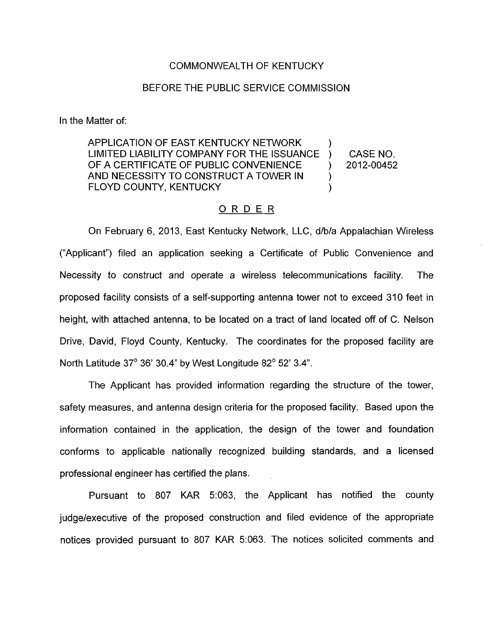## COMMONWEALTH OF KENTUCKY

## BEFORE THE PUBLIC SERVICE COMMISSION

In the Matter of:

APPLICATION OF EAST KENTUCKY NETWORK  $\qquad \qquad$  ) LIMITED LIABILITY COMPANY FOR THE ISSUANCE ) CASE NO. OF A CERTIFICATE OF PUBLIC CONVENIENCE ) 2012-00452 AND NECESSITY TO CONSTRUCT A TOWER IN  $\qquad$ ) FLOYD COUNTY, KENTUCKY (1999)

## ORDER

On February 6, 2013, East Kentucky Network, LLC, d/b/a Appalachian Wireless ("Applicant") filed an application seeking a Certificate of Public Convenience and Necessity to construct and operate a wireless telecommunications facility. The proposed facility consists of a self-supporting antenna tower not to exceed 310 feet in height, with attached antenna, to be located on a tract of land located off of C. Nelson Drive, David, Floyd County, Kentucky. The coordinates for the proposed facility are North Latitude  $37^{\circ}$  36' 30.4" by West Longitude  $82^{\circ}$  52' 3.4".

The Applicant has provided information regarding the structure of the tower, safety measures, and antenna design criteria for the proposed facility. Based upon the information contained in the application, the design of the tower and foundation conforms to applicable nationally recognized building standards, and a licensed professional engineer has certified the plans.

Pursuant to 807 KAR 5:063, the Applicant has notified the county judge/executive of the proposed construction and filed evidence of the appropriate notices provided pursuant to 807 KAR 5:063. The notices solicited comments and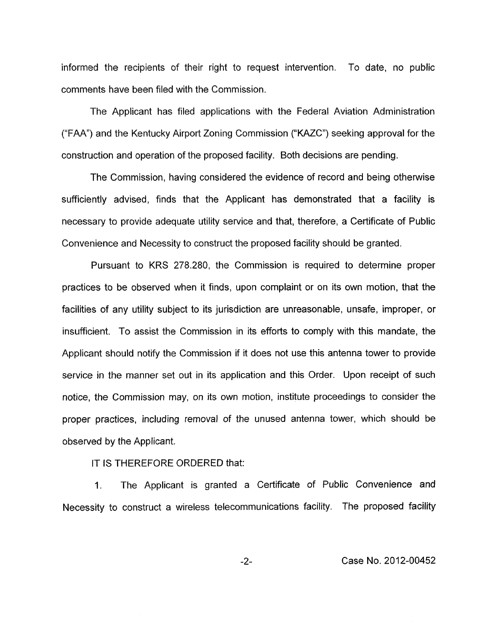informed the recipients of their right to request intervention. To date, no public comments have been filed with the Commission.

The Applicant has filed applications with the Federal Aviation Administration (''FAA") and the Kentucky Airport Zoning Commission ("KAZC") seeking approval for the construction and operation of the proposed facility. Both decisions are pending.

The Commission, having considered the evidence of record and being otherwise sufficiently advised, finds that the Applicant has demonstrated that a facility is necessary to provide adequate utility service and that, therefore, a Certificate of Public Convenience and Necessity to construct the proposed facility should be granted.

Pursuant to KRS 278.280, the Commission is required to determine proper practices to be observed when it finds, upon complaint or on its own motion, that the facilities of any utility subject to its jurisdiction are unreasonable, unsafe, improper, or insufficient. To assist the Commission in its efforts to comply with this mandate, the Applicant should notify the Commission if it does not use this antenna tower to provide service in the manner set out in its application and this Order. Upon receipt of such notice, the Commission may, on its own motion, institute proceedings to consider the proper practices, including removal of the unused antenna tower, which should be observed by the Applicant.

## IT IS THEREFORE ORDERED that:

**1.** The Applicant is granted a Certificate of Public Convenience and Necessity to construct a wireless telecommunications facility. The proposed facility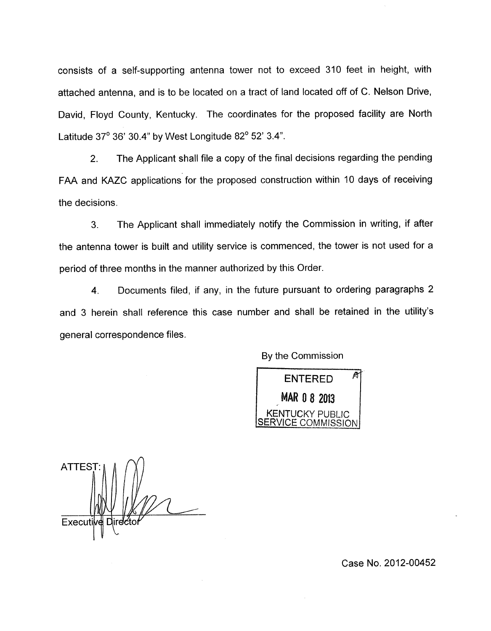consists of a self-supporting antenna tower not to exceed 310 feet in height, with attached antenna, and is to be located on a tract of land located off of C. Nelson Drive, David, Floyd County, Kentucky. The coordinates for the proposed facility are North Latitude  $37^\circ$  36' 30.4" by West Longitude  $82^\circ$  52' 3.4".

2. The Applicant shall file a copy of the final decisions regarding the pending FAA and KAZC applications for the proposed construction within 10 days of receiving the decisions.

3. The Applicant shall immediately notify the Commission in writing, if after the antenna tower is built and utility service is commenced, the tower is not used for a period of three months in the manner authorized by this Order.

4. Documents filed, if any, in the future pursuant to ordering paragraphs 2 and 3 herein shall reference this case number and shall be retained in the utility's general correspondence files.

By the Commission

М **ENTERED** MAR 0 8 2013 NTUCKY PUBLIC **SERVICE COMMISSION** 

**ATTEST** Execut

Case No. 2012-00452